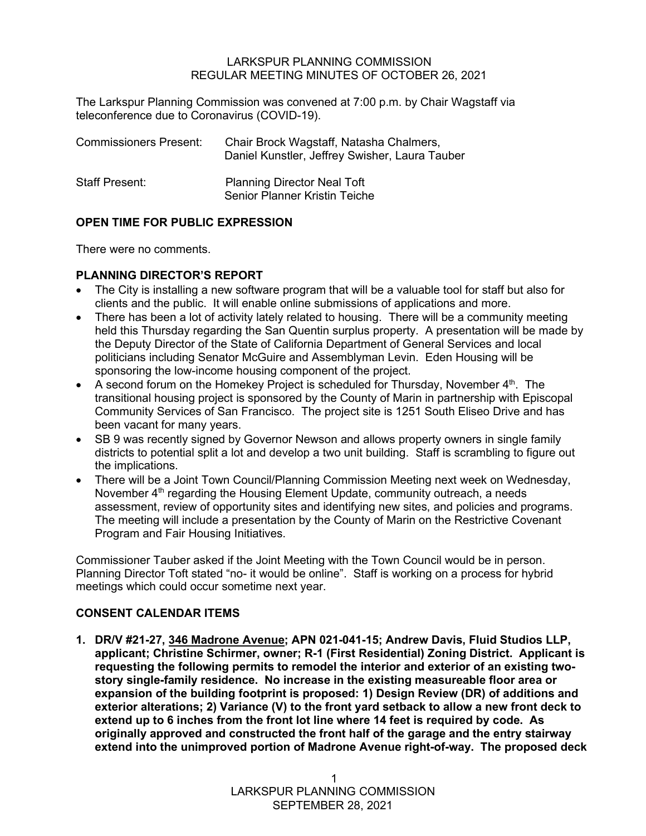#### LARKSPUR PLANNING COMMISSION REGULAR MEETING MINUTES OF OCTOBER 26, 2021

The Larkspur Planning Commission was convened at 7:00 p.m. by Chair Wagstaff via teleconference due to Coronavirus (COVID-19).

| <b>Commissioners Present:</b> | Chair Brock Wagstaff, Natasha Chalmers,<br>Daniel Kunstler, Jeffrey Swisher, Laura Tauber |
|-------------------------------|-------------------------------------------------------------------------------------------|
| <b>Staff Present:</b>         | <b>Planning Director Neal Toft</b><br><b>Senior Planner Kristin Teiche</b>                |

# **OPEN TIME FOR PUBLIC EXPRESSION**

There were no comments.

# **PLANNING DIRECTOR'S REPORT**

- The City is installing a new software program that will be a valuable tool for staff but also for clients and the public. It will enable online submissions of applications and more.
- There has been a lot of activity lately related to housing. There will be a community meeting held this Thursday regarding the San Quentin surplus property. A presentation will be made by the Deputy Director of the State of California Department of General Services and local politicians including Senator McGuire and Assemblyman Levin. Eden Housing will be sponsoring the low-income housing component of the project.
- A second forum on the Homekey Project is scheduled for Thursday, November  $4<sup>th</sup>$ . The transitional housing project is sponsored by the County of Marin in partnership with Episcopal Community Services of San Francisco. The project site is 1251 South Eliseo Drive and has been vacant for many years.
- SB 9 was recently signed by Governor Newson and allows property owners in single family districts to potential split a lot and develop a two unit building. Staff is scrambling to figure out the implications.
- There will be a Joint Town Council/Planning Commission Meeting next week on Wednesday, November  $4<sup>th</sup>$  regarding the Housing Element Update, community outreach, a needs assessment, review of opportunity sites and identifying new sites, and policies and programs. The meeting will include a presentation by the County of Marin on the Restrictive Covenant Program and Fair Housing Initiatives.

Commissioner Tauber asked if the Joint Meeting with the Town Council would be in person. Planning Director Toft stated "no- it would be online". Staff is working on a process for hybrid meetings which could occur sometime next year.

# **CONSENT CALENDAR ITEMS**

**1. DR/V #21-27, 346 Madrone Avenue; APN 021-041-15; Andrew Davis, Fluid Studios LLP, applicant; Christine Schirmer, owner; R-1 (First Residential) Zoning District. Applicant is requesting the following permits to remodel the interior and exterior of an existing twostory single-family residence. No increase in the existing measureable floor area or expansion of the building footprint is proposed: 1) Design Review (DR) of additions and exterior alterations; 2) Variance (V) to the front yard setback to allow a new front deck to extend up to 6 inches from the front lot line where 14 feet is required by code. As originally approved and constructed the front half of the garage and the entry stairway extend into the unimproved portion of Madrone Avenue right-of-way. The proposed deck**